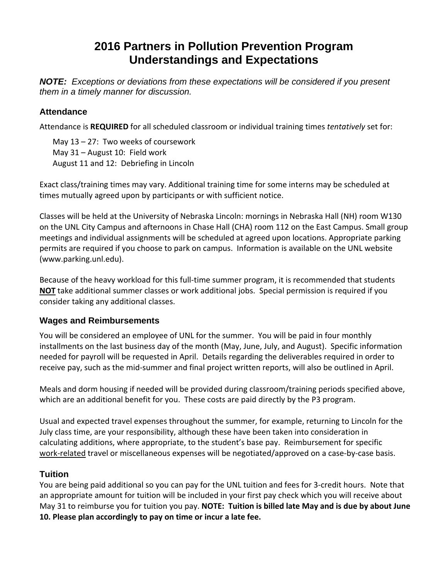# **2016 Partners in Pollution Prevention Program Understandings and Expectations**

*NOTE: Exceptions or deviations from these expectations will be considered if you present them in a timely manner for discussion.* 

#### **Attendance**

Attendance is **REQUIRED** for all scheduled classroom or individual training times *tentatively* set for:

May 13 – 27: Two weeks of coursework May 31 – August 10: Field work August 11 and 12: Debriefing in Lincoln

Exact class/training times may vary. Additional training time for some interns may be scheduled at times mutually agreed upon by participants or with sufficient notice.

Classes will be held at the University of Nebraska Lincoln: mornings in Nebraska Hall (NH) room W130 on the UNL City Campus and afternoons in Chase Hall (CHA) room 112 on the East Campus. Small group meetings and individual assignments will be scheduled at agreed upon locations. Appropriate parking permits are required if you choose to park on campus. Information is available on the UNL website (www.parking.unl.edu).

Because of the heavy workload for this full-time summer program, it is recommended that students **NOT** take additional summer classes or work additional jobs. Special permission is required if you consider taking any additional classes.

#### **Wages and Reimbursements**

You will be considered an employee of UNL for the summer. You will be paid in four monthly installments on the last business day of the month (May, June, July, and August). Specific information needed for payroll will be requested in April. Details regarding the deliverables required in order to receive pay, such as the mid‐summer and final project written reports, will also be outlined in April.

Meals and dorm housing if needed will be provided during classroom/training periods specified above, which are an additional benefit for you. These costs are paid directly by the P3 program.

Usual and expected travel expenses throughout the summer, for example, returning to Lincoln for the July class time, are your responsibility, although these have been taken into consideration in calculating additions, where appropriate, to the student's base pay. Reimbursement for specific work-related travel or miscellaneous expenses will be negotiated/approved on a case-by-case basis.

#### **Tuition**

You are being paid additional so you can pay for the UNL tuition and fees for 3‐credit hours. Note that an appropriate amount for tuition will be included in your first pay check which you will receive about May 31 to reimburse you for tuition you pay. **NOTE: Tuition is billed late May and is due by about June 10. Please plan accordingly to pay on time or incur a late fee.**